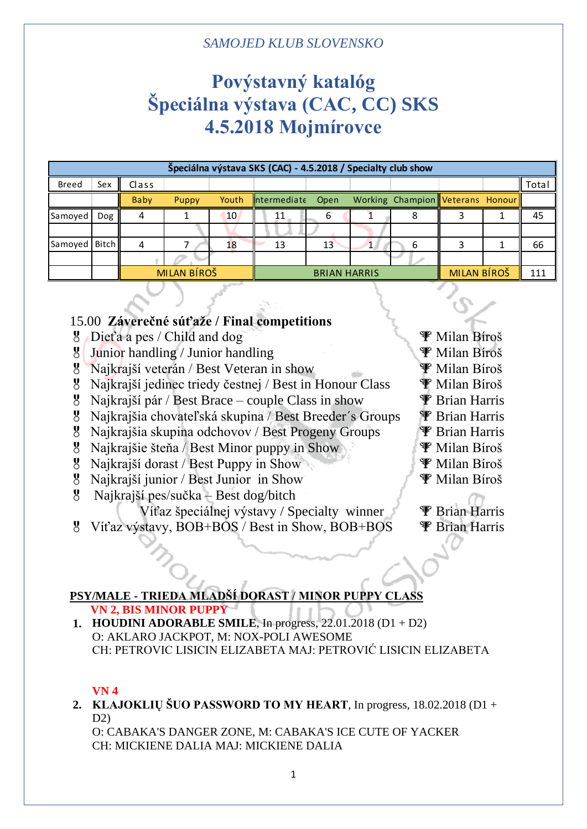# **Povýstavný katalóg Špeciálna výstava (CAC, CC) SKS 4.5.2018 Mojmírovce**

| Špeciálna výstava SKS (CAC) - 4.5.2018 / Specialty club show |            |       |             |       |                     |      |  |                                  |             |  |       |
|--------------------------------------------------------------|------------|-------|-------------|-------|---------------------|------|--|----------------------------------|-------------|--|-------|
| <b>Breed</b>                                                 | Sex        | Class |             |       |                     |      |  |                                  |             |  | Total |
|                                                              |            | Baby  | Puppy       | Youth | Intermediate        | Open |  | Working Champion Veterans Honour |             |  |       |
| Samoyed                                                      | <b>Dog</b> | 4     |             | 10    | 11                  | n    |  |                                  |             |  | 45    |
|                                                              |            |       |             |       |                     |      |  |                                  |             |  |       |
| Samoyed   Bitch                                              |            | 4     |             | 18    | 13                  | 13   |  | 6                                |             |  | 66    |
|                                                              |            |       |             |       |                     |      |  |                                  |             |  |       |
|                                                              |            |       | MILAN BÍROŠ |       | <b>BRIAN HARRIS</b> |      |  |                                  | MILAN BÍROŠ |  | 111   |

# 15.00 **Záverečné súťaže / Final competitions**

- $\bullet$  Dieťa a pes / Child and dog  $\bullet$  Milan Bíroš
- $\frac{1}{2}$  Junior handling / Junior handling  $\frac{1}{2}$  Milan Bíroš
- 8 Najkrajší veterán / Best Veteran in show **W** Milan Bíroš
- 8 Najkrajší jedinec triedy čestnej / Best in Honour Class  $\mathscr{F}$  Milan Bíroš
- $\frac{1}{2}$  Najkrajší pár / Best Brace couple Class in show  $\frac{1}{2}$  Brian Harris
- <sup>8</sup> Najkrajšia chovateľská skupina / Best Breeder's Groups <sup>9</sup> Brian Harris
- 8 Najkrajšia skupina odchovov / Best Progeny Groups **P** Brian Harris
- $\mathcal{B}$  Najkrajšie šteňa / Best Minor puppy in Show  $\mathcal{F}$  Milan Bíroš
- <sup>8</sup> Najkrajší dorast / Best Puppy in Show **W** Milan Bíroš
- Najkrajší junior / Best Junior in Show **Wallan Bíroš**
- Najkrajší pes/sučka Best dog/bitch
	- Víťaz špeciálnej výstavy / Specialty winner  $\mathscr{F}$  Brian Harris
- <sup>8</sup> Víťaz výstavy, BOB+BOS / Best in Show, BOB+BOS <sup>T</sup>P Brian Harris
- 
- 
- 
- 
- 
- 
- 
- 
- 
- 
- 

# **PSY/MALE - TRIEDA MLADŠÍ DORAST / MINOR PUPPY CLASS**

```
 VN 2, BIS MINOR PUPPY
```
**1. HOUDINI ADORABLE SMILE**, In progress, 22.01.2018 (D1 + D2) O: AKLARO JACKPOT, M: NOX-POLI AWESOME CH: PETROVIC LISICIN ELIZABETA MAJ: PETROVIĆ LISICIN ELIZABETA

## **VN 4**

**2. KLAJOKLIŲ ŠUO PASSWORD TO MY HEART**, In progress, 18.02.2018 (D1 +  $D2$ 

O: CABAKA'S DANGER ZONE, M: CABAKA'S ICE CUTE OF YACKER CH: MICKIENE DALIA MAJ: MICKIENE DALIA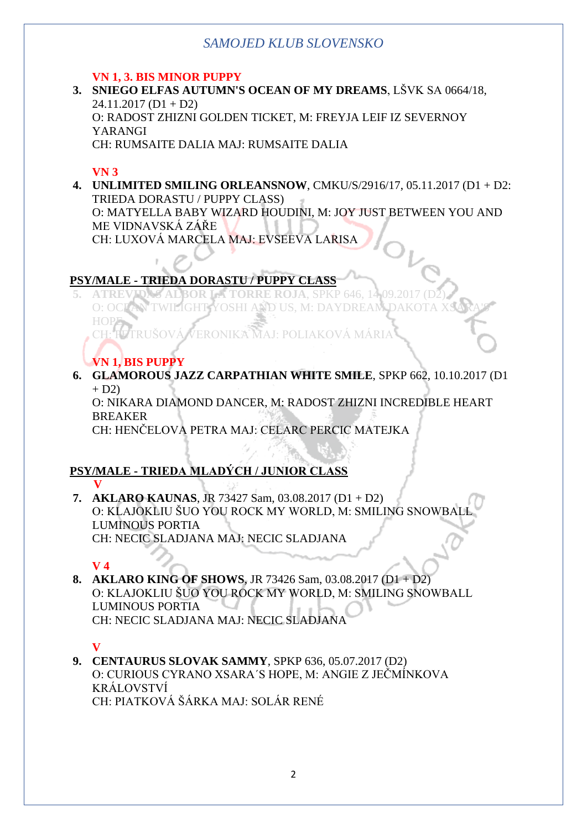### **VN 1, 3. BIS MINOR PUPPY**

**3. SNIEGO ELFAS AUTUMN'S OCEAN OF MY DREAMS**, LŠVK SA 0664/18,  $24.11.2017$  (D1 + D2) O: RADOST ZHIZNI GOLDEN TICKET, M: FREYJA LEIF IZ SEVERNOY YARANGI CH: RUMSAITE DALIA MAJ: RUMSAITE DALIA

#### **VN 3**

**4. UNLIMITED SMILING ORLEANSNOW**, CMKU/S/2916/17, 05.11.2017 (D1 + D2: TRIEDA DORASTU / PUPPY CLASS) O: MATYELLA BABY WIZARD HOUDINI, M: JOY JUST BETWEEN YOU AND ME VIDNAVSKÁ ZÁŘE

CH: LUXOVÁ MARCELA MAJ: EVSEEVA LARISA

# **PSY/MALE - TRIEDA DORASTU / PUPPY CLASS**

**ATREVIDAS ALBOR LA TORRE ROJA, SPKP 646, 14.09.2018** O: OCLAN TWILIGHT YOSHI AND US, M: DAYDREAM **HOP** VERONIKA MAJ: POLIAKOVÁ MÁRI

**VN 1, BIS PUPPY**

**6. GLAMOROUS JAZZ CARPATHIAN WHITE SMILE**, SPKP 662, 10.10.2017 (D1  $+ D2$ 

O: NIKARA DIAMOND DANCER, M: RADOST ZHIZNI INCREDIBLE HEART BREAKER

CH: HENČELOVA PETRA MAJ: CELARC PERCIC MATEJKA

# **PSY/MALE - TRIEDA MLADÝCH / JUNIOR CLASS**

 **V 7. AKLARO KAUNAS**, JR 73427 Sam, 03.08.2017 (D1 + D2) O: KLAJOKLIU ŠUO YOU ROCK MY WORLD, M: SMILING SNOWBA LUMINOUS PORTIA CH: NECIC SLADJANA MAJ: NECIC SLADJANA

## **V 4**

**8. AKLARO KING OF SHOWS**, JR 73426 Sam, 03.08.2017 (D1 + D2) O: KLAJOKLIU ŠUO YOU ROCK MY WORLD, M: SMILING SNOWBALL LUMINOUS PORTIA CH: NECIC SLADJANA MAJ: NECIC SLADJANA

# **V**

**9. CENTAURUS SLOVAK SAMMY**, SPKP 636, 05.07.2017 (D2) O: CURIOUS CYRANO XSARA´S HOPE, M: ANGIE Z JEČMÍNKOVA KRÁLOVSTVÍ CH: PIATKOVÁ ŠÁRKA MAJ: SOLÁR RENÉ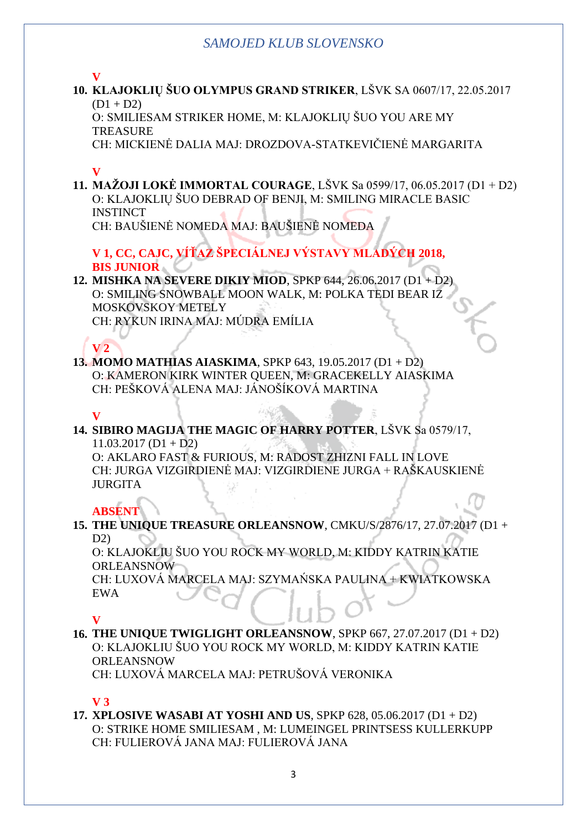### **V**

**10. KLAJOKLIŲ ŠUO OLYMPUS GRAND STRIKER**, LŠVK SA 0607/17, 22.05.2017  $(D1 + D2)$ 

O: SMILIESAM STRIKER HOME, M: KLAJOKLIŲ ŠUO YOU ARE MY **TREASURE** 

CH: MICKIENĖ DALIA MAJ: DROZDOVA-STATKEVIČIENĖ MARGARITA

## **V**

**11. MAŽOJI LOKĖ IMMORTAL COURAGE**, LŠVK Sa 0599/17, 06.05.2017 (D1 + D2) O: KLAJOKLIŲ ŠUO DEBRAD OF BENJI, M: SMILING MIRACLE BASIC **INSTINCT** CH: BAUŠIENĖ NOMEDA MAJ: BAUŠIENĖ NOMEDA

**V 1, CC, CAJC, VÍŤAZ ŠPECIÁLNEJ VÝSTAVY MLADÝCH 2018,** 

#### **BIS JUNIOR**

#### **12. MISHKA NA SEVERE DIKIY MIOD**, SPKP 644, 26.06.2017 (D1 + D2) O: SMILING SNOWBALL MOON WALK, M: POLKA TEDI BEAR IZ MOSKOVSKOY METELY CH: RYKUN IRINA MAJ: MÚDRA EMÍLIA

# **V 2**

#### **13. MOMO MATHIAS AIASKIMA**, SPKP 643, 19.05.2017 (D1 + D2) O: KAMERON KIRK WINTER QUEEN, M: GRACEKELLY AIASKIMA CH: PEŠKOVÁ ALENA MAJ: JÁNOŠÍKOVÁ MARTINA

### **V**

#### **14. SIBIRO MAGIJA THE MAGIC OF HARRY POTTER**, LŠVK Sa 0579/17,  $11.03.2017$  (D1 + D2)

O: AKLARO FAST & FURIOUS, M: RADOST ZHIZNI FALL IN LOVE CH: JURGA VIZGIRDIENĖ MAJ: VIZGIRDIENE JURGA + RAŠKAUSKIENĖ **HIRGITA** 

# **ABSENT**

**15. THE UNIQUE TREASURE ORLEANSNOW**, CMKU/S/2876/17, 27.07.2017 (D1 +  $D2$ 

O: KLAJOKLIU ŠUO YOU ROCK MY WORLD, M: KIDDY KATRIN KATIE ORLEANSNOW

CH: LUXOVÁ MARCELA MAJ: SZYMAŃSKA PAULINA + KWIATKOWSKA EWA

## **V**

**16. THE UNIQUE TWIGLIGHT ORLEANSNOW**, SPKP 667, 27.07.2017 (D1 + D2) O: KLAJOKLIU ŠUO YOU ROCK MY WORLD, M: KIDDY KATRIN KATIE ORLEANSNOW CH: LUXOVÁ MARCELA MAJ: PETRUŠOVÁ VERONIKA

## **V 3**

**17. XPLOSIVE WASABI AT YOSHI AND US**, SPKP 628, 05.06.2017 (D1 + D2) O: STRIKE HOME SMILIESAM , M: LUMEINGEL PRINTSESS KULLERKUPP CH: FULIEROVÁ JANA MAJ: FULIEROVÁ JANA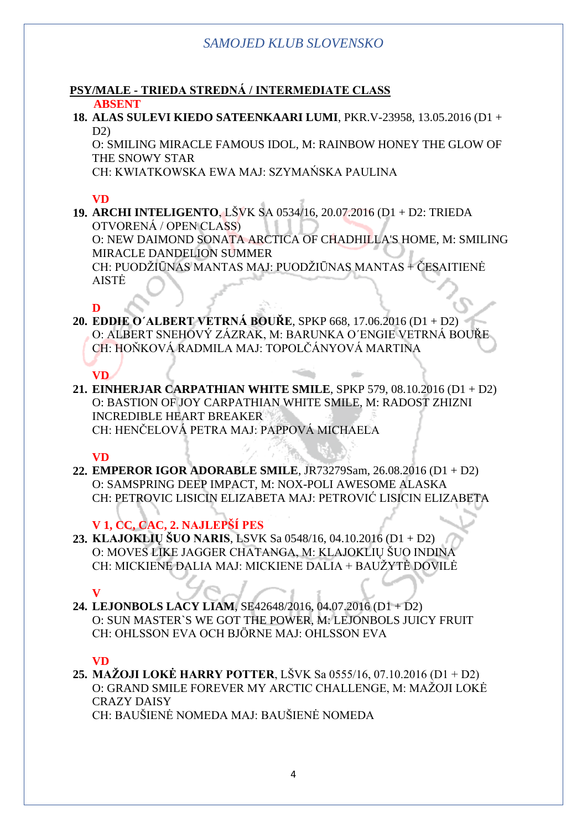#### **PSY/MALE - TRIEDA STREDNÁ / INTERMEDIATE CLASS ABSENT**

**18. ALAS SULEVI KIEDO SATEENKAARI LUMI**, PKR.V-23958, 13.05.2016 (D1 + D2)

O: SMILING MIRACLE FAMOUS IDOL, M: RAINBOW HONEY THE GLOW OF THE SNOWY STAR

CH: KWIATKOWSKA EWA MAJ: SZYMAŃSKA PAULINA

#### **VD**

**19. ARCHI INTELIGENTO**, LŠVK SA 0534/16, 20.07.2016 (D1 + D2: TRIEDA OTVORENÁ / OPEN CLASS) O: NEW DAIMOND SONATA ARCTICA OF CHADHILLA'S HOME, M: SMILING MIRACLE DANDELION SUMMER CH: PUODŽIŪNAS MANTAS MAJ: PUODŽIŪNAS MANTAS + ČESAITIENĖ AISTĖ

#### **D**

**VD**

- **20. EDDIE O´ALBERT VETRNÁ BOUŘE**, SPKP 668, 17.06.2016 (D1 + D2) O: ALBERT SNEHOVÝ ZÁZRAK, M: BARUNKA O´ENGIE VETRNÁ BOUŘE CH: HOŇKOVÁ RADMILA MAJ: TOPOLČÁNYOVÁ MARTINA
- **21. EINHERJAR CARPATHIAN WHITE SMILE**, SPKP 579, 08.10.2016 (D1 + D2) O: BASTION OF JOY CARPATHIAN WHITE SMILE, M: RADOST ZHIZNI INCREDIBLE HEART BREAKER CH: HENČELOVÁ PETRA MAJ: PAPPOVÁ MICHAELA

**VD**

**22. EMPEROR IGOR ADORABLE SMILE**, JR73279Sam, 26.08.2016 (D1 + D2) O: SAMSPRING DEEP IMPACT, M: NOX-POLI AWESOME ALASKA CH: PETROVIC LISICIN ELIZABETA MAJ: PETROVIĆ LISICIN ELIZABETA

**V 1, CC, CAC, 2. NAJLEPŠÍ PES**

**23. KLAJOKLIŲ ŠUO NARIS**, LSVK Sa 0548/16, 04.10.2016 (D1 + D2) O: MOVES LIKE JAGGER CHATANGA, M: KLAJOKLIŲ ŠUO INDINA CH: MICKIENE DALIA MAJ: MICKIENE DALIA + BAUŽYTĖ DOVILĖ

**V**

**24. LEJONBOLS LACY LIAM**, SE42648/2016, 04.07.2016 (D1 + D2) O: SUN MASTER`S WE GOT THE POWER, M: LEJONBOLS JUICY FRUIT CH: OHLSSON EVA OCH BJÖRNE MAJ: OHLSSON EVA

## **VD**

**25. MAŽOJI LOKĖ HARRY POTTER**, LŠVK Sa 0555/16, 07.10.2016 (D1 + D2) O: GRAND SMILE FOREVER MY ARCTIC CHALLENGE, M: MAŽOJI LOKĖ CRAZY DAISY CH: BAUŠIENĖ NOMEDA MAJ: BAUŠIENĖ NOMEDA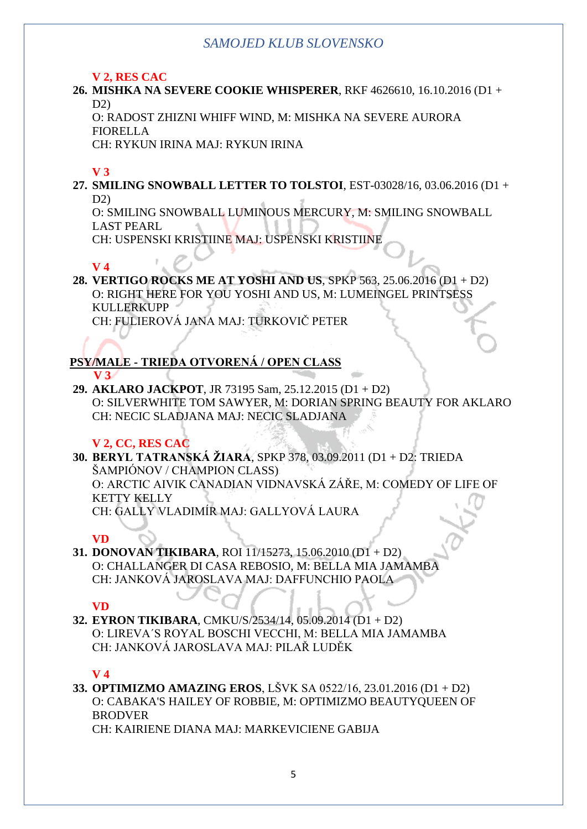### **V 2, RES CAC**

**26. MISHKA NA SEVERE COOKIE WHISPERER**, RKF 4626610, 16.10.2016 (D1 +  $D2$ 

O: RADOST ZHIZNI WHIFF WIND, M: MISHKA NA SEVERE AURORA FIORELLA

CH: RYKUN IRINA MAJ: RYKUN IRINA

## **V 3**

**27. SMILING SNOWBALL LETTER TO TOLSTOI**, EST-03028/16, 03.06.2016 (D1 + D2)

O: SMILING SNOWBALL LUMINOUS MERCURY, M: SMILING SNOWBALL LAST PEARL

CH: USPENSKI KRISTIINE MAJ: USPENSKI KRISTIINE

## **V 4**

**28. VERTIGO ROCKS ME AT YOSHI AND US**, SPKP 563, 25.06.2016 (D1 + D2) O: RIGHT HERE FOR YOU YOSHI AND US, M: LUMEINGEL PRINTSESS KULLERKUPP CH: FULIEROVÁ JANA MAJ: TURKOVIČ PETER

#### **PSY/MALE - TRIEDA OTVORENÁ / OPEN CLASS V 3**

**29. AKLARO JACKPOT**, JR 73195 Sam, 25.12.2015 (D1 + D2) O: SILVERWHITE TOM SAWYER, M: DORIAN SPRING BEAUTY FOR AKLARO CH: NECIC SLADJANA MAJ: NECIC SLADJANA

# **V 2, CC, RES CAC**

**30. BERYL TATRANSKÁ ŽIARA**, SPKP 378, 03.09.2011 (D1 + D2: TRIEDA ŠAMPIÓNOV / CHAMPION CLASS) O: ARCTIC AIVIK CANADIAN VIDNAVSKÁ ZÁŘE, M: COMEDY OF LIFE OF KETTY KELLY CH: GALLY VLADIMÍR MAJ: GALLYOVÁ LAURA

## **VD**

**31. DONOVAN TIKIBARA**, ROI 11/15273, 15.06.2010 (D1 + D2) O: CHALLANGER DI CASA REBOSIO, M: BELLA MIA JAMAMBA CH: JANKOVÁ JAROSLAVA MAJ: DAFFUNCHIO PAOLA

## **VD**

**32. EYRON TIKIBARA**, CMKU/S/2534/14, 05.09.2014 (D1 + D2) O: LIREVA´S ROYAL BOSCHI VECCHI, M: BELLA MIA JAMAMBA CH: JANKOVÁ JAROSLAVA MAJ: PILAŘ LUDĚK

## **V 4**

**33. OPTIMIZMO AMAZING EROS**, LŠVK SA 0522/16, 23.01.2016 (D1 + D2) O: CABAKA'S HAILEY OF ROBBIE, M: OPTIMIZMO BEAUTYQUEEN OF BRODVER

CH: KAIRIENE DIANA MAJ: MARKEVICIENE GABIJA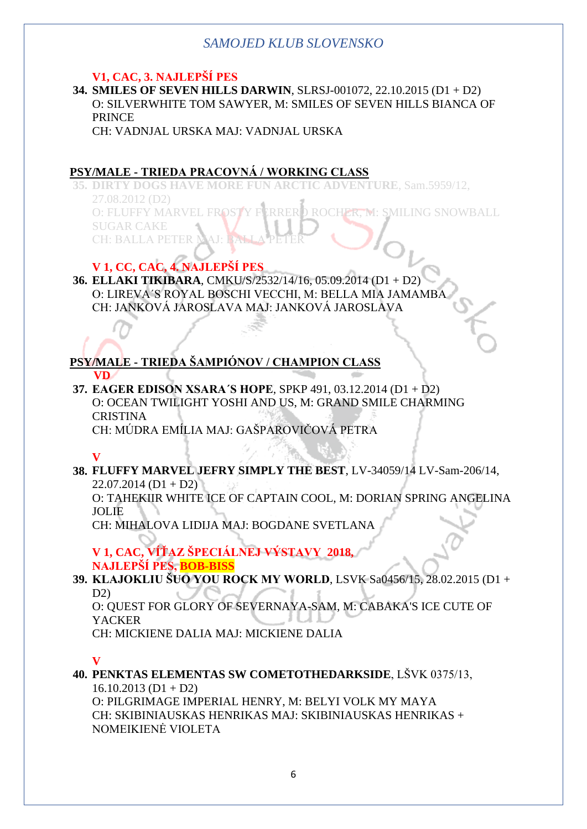## **V1, CAC, 3. NAJLEPŠÍ PES**

**34. SMILES OF SEVEN HILLS DARWIN**, SLRSJ-001072, 22.10.2015 (D1 + D2) O: SILVERWHITE TOM SAWYER, M: SMILES OF SEVEN HILLS BIANCA OF **PRINCE** 

CH: VADNJAL URSKA MAJ: VADNJAL URSKA

# **PSY/MALE - TRIEDA PRACOVNÁ / WORKING CLASS**

**35. DIRTY DOGS HAVE MORE FUN ARCTIC ADVENTURE**, Sam.5959/12, 27.08.2012 (D2) O: FLUFFY MARVEL FROSTY FERRERO ROCHER, M: SMILING SNOWBALL SUGAR CAKE **CH: BALLA PETER** 

# **V 1, CC, CAC, 4. NAJLEPŠÍ PES**

**36. ELLAKI TIKIBARA**, CMKU/S/2532/14/16, 05.09.2014 (D1 + D2) O: LIREVA´S ROYAL BOSCHI VECCHI, M: BELLA MIA JAMAMBA CH: JANKOVÁ JAROSLAVA MAJ: JANKOVÁ JAROSLAVA

#### **PSY/MALE - TRIEDA ŠAMPIÓNOV / CHAMPION CLASS VD**

**37. EAGER EDISON XSARA´S HOPE**, SPKP 491, 03.12.2014 (D1 + D2) O: OCEAN TWILIGHT YOSHI AND US, M: GRAND SMILE CHARMING **CRISTINA** CH: MÚDRA EMÍLIA MAJ: GAŠPAROVIČOVÁ PETRA

## **V**

**38. FLUFFY MARVEL JEFRY SIMPLY THE BEST**, LV-34059/14 LV-Sam-206/14,  $22.07.2014$  (D1 + D2)

O: TAHEKIIR WHITE ICE OF CAPTAIN COOL, M: DORIAN SPRING ANGELINA JOLIE

CH: MIHALOVA LIDIJA MAJ: BOGDANE SVETLANA

**V 1, CAC, VÍŤAZ ŠPECIÁLNEJ VÝSTAVY 2018, NAJLEPŠÍ PES, BOB-BISS**

**39. KLAJOKLIU ŠUO YOU ROCK MY WORLD**, LSVK Sa0456/15, 28.02.2015 (D1 + D2)

O: QUEST FOR GLORY OF SEVERNAYA-SAM, M: CABAKA'S ICE CUTE OF YACKER

CH: MICKIENE DALIA MAJ: MICKIENE DALIA

## **V**

**40. PENKTAS ELEMENTAS SW COMETOTHEDARKSIDE**, LŠVK 0375/13,  $16.10.2013$  (D1 + D2) O: PILGRIMAGE IMPERIAL HENRY, M: BELYI VOLK MY MAYA

CH: SKIBINIAUSKAS HENRIKAS MAJ: SKIBINIAUSKAS HENRIKAS + NOMEIKIENĖ VIOLETA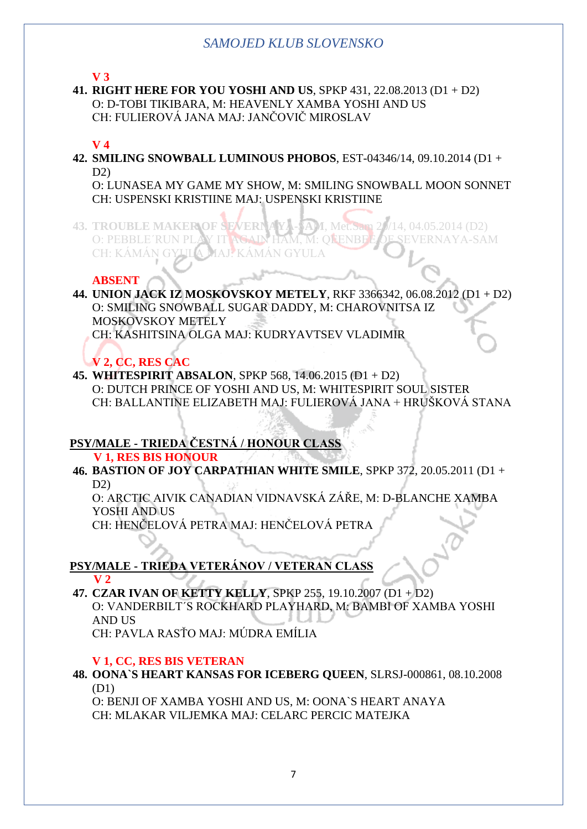**V 3**

**41. RIGHT HERE FOR YOU YOSHI AND US**, SPKP 431, 22.08.2013 (D1 + D2) O: D-TOBI TIKIBARA, M: HEAVENLY XAMBA YOSHI AND US CH: FULIEROVÁ JANA MAJ: JANČOVIČ MIROSLAV

### **V 4**

**42. SMILING SNOWBALL LUMINOUS PHOBOS**, EST-04346/14, 09.10.2014 (D1 +  $D2$ 

O: LUNASEA MY GAME MY SHOW, M: SMILING SNOWBALL MOON SONNET CH: USPENSKI KRISTIINE MAJ: USPENSKI KRISTIINE

**43. TROUBLE MAKER OF SEVERNAYA-SAM**, Met.Sam 20/14, 04.05.2014 (D2) O: PEBBLE´RUN PLAY IT AGAIN HAM, M: OUENBEE OF SEVERNAYA-SAM CH: KÁMÁN GYULA MAJ: KÁMÁN GYULA

#### **ABSENT**

**44. UNION JACK IZ MOSKOVSKOY METELY**, RKF 3366342, 06.08.2012 (D1 + D2) O: SMILING SNOWBALL SUGAR DADDY, M: CHAROVNITSA IZ MOSKOVSKOY METELY CH: KASHITSINA OLGA MAJ: KUDRYAVTSEV VLADIMIR

# **V 2, CC, RES CAC**

**45. WHITESPIRIT ABSALON**, SPKP 568, 14.06.2015 (D1 + D2) O: DUTCH PRINCE OF YOSHI AND US, M: WHITESPIRIT SOUL SISTER CH: BALLANTINE ELIZABETH MAJ: FULIEROVÁ JANA + HRUŠKOVÁ STANA

## **PSY/MALE - TRIEDA ČESTNÁ / HONOUR CLASS**

 **V 1, RES BIS HONOUR**

**46. BASTION OF JOY CARPATHIAN WHITE SMILE**, SPKP 372, 20.05.2011 (D1 +  $D2$ 

O: ARCTIC AIVIK CANADIAN VIDNAVSKÁ ZÁŘE, M: D-BLANCHE XAMBA YOSHI AND US

CH: HENČELOVÁ PETRA MAJ: HENČELOVÁ PETRA

# **PSY/MALE - TRIEDA VETERÁNOV / VETERAN CLASS**

 **V 2 47. CZAR IVAN OF KETTY KELLY**, SPKP 255, 19.10.2007 (D1 + D2) O: VANDERBILT´S ROCKHARD PLAYHARD, M: BAMBI OF XAMBA YOSHI AND US

CH: PAVLA RASŤO MAJ: MÚDRA EMÍLIA

#### **V 1, CC, RES BIS VETERAN**

#### **48. OONA`S HEART KANSAS FOR ICEBERG QUEEN**, SLRSJ-000861, 08.10.2008 (D1)

O: BENJI OF XAMBA YOSHI AND US, M: OONA`S HEART ANAYA CH: MLAKAR VILJEMKA MAJ: CELARC PERCIC MATEJKA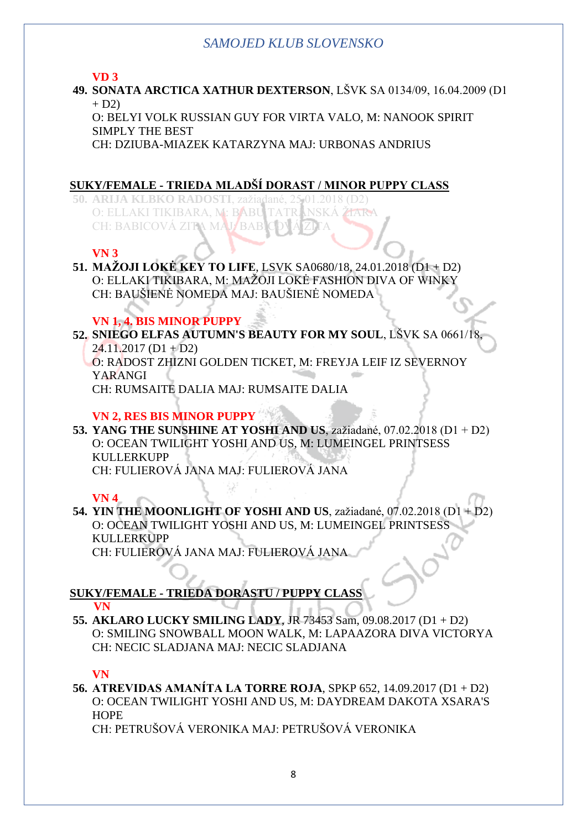#### **VD 3**

**49. SONATA ARCTICA XATHUR DEXTERSON**, LŠVK SA 0134/09, 16.04.2009 (D1  $+ D2$ 

O: BELYI VOLK RUSSIAN GUY FOR VIRTA VALO, M: NANOOK SPIRIT SIMPLY THE BEST

CH: DZIUBA-MIAZEK KATARZYNA MAJ: URBONAS ANDRIUS

## **SUKY/FEMALE - TRIEDA MLADŠÍ DORAST / MINOR PUPPY CLASS**

**50. ARIJA KLBKO RADOSTI**, zažiadané, 25.01.2018 (D2) O: ELLAKI TIKIBARA, M: BABU TATRANSKÁ ŽIARA CH: BABICOVÁ ZITA MAJ BABI

## **VN 3**

### **51. MAŽOJI LOKĖ KEY TO LIFE**, LSVK SA0680/18, 24.01.2018 (D1 + D2) O: ELLAKI TIKIBARA, M: MAŽOJI LOKĖ FASHION DIVA OF WINKY CH: BAUŠIENĖ NOMEDA MAJ: BAUŠIENĖ NOMEDA

# **VN 1, 4. BIS MINOR PUPPY**

**52. SNIEGO ELFAS AUTUMN'S BEAUTY FOR MY SOUL**, LŠVK SA 0661/18,  $24.11.2017$  (D1 + D2)

O: RADOST ZHIZNI GOLDEN TICKET, M: FREYJA LEIF IZ SEVERNOY YARANGI

CH: RUMSAITE DALIA MAJ: RUMSAITE DALIA

## **VN 2, RES BIS MINOR PUPPY**

**53. YANG THE SUNSHINE AT YOSHI AND US**, zažiadané, 07.02.2018 (D1 + D2) O: OCEAN TWILIGHT YOSHI AND US, M: LUMEINGEL PRINTSESS KULLERKUPP CH: FULIEROVÁ JANA MAJ: FULIEROVÁ JANA

#### **VN 4**

**54. YIN THE MOONLIGHT OF YOSHI AND US**, zažiadané, 07.02.2018 (D1 + D2) O: OCEAN TWILIGHT YOSHI AND US, M: LUMEINGEL PRINTSESS KULLERKUPP CH: FULIEROVÁ JANA MAJ: FULIEROVÁ JANA

#### **SUKY/FEMALE - TRIEDA DORASTU / PUPPY CLASS VN**

**55. AKLARO LUCKY SMILING LADY**, JR 73453 Sam, 09.08.2017 (D1 + D2) O: SMILING SNOWBALL MOON WALK, M: LAPAAZORA DIVA VICTORYA CH: NECIC SLADJANA MAJ: NECIC SLADJANA

## **VN**

**56. ATREVIDAS AMANÍTA LA TORRE ROJA**, SPKP 652, 14.09.2017 (D1 + D2) O: OCEAN TWILIGHT YOSHI AND US, M: DAYDREAM DAKOTA XSARA'S **HOPE** 

CH: PETRUŠOVÁ VERONIKA MAJ: PETRUŠOVÁ VERONIKA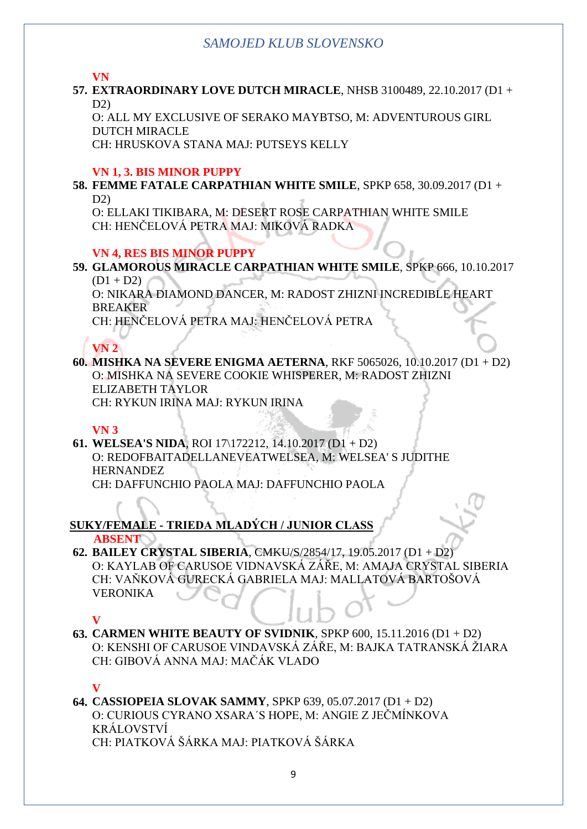**VN**

**57. EXTRAORDINARY LOVE DUTCH MIRACLE**, NHSB 3100489, 22.10.2017 (D1 + D2)

O: ALL MY EXCLUSIVE OF SERAKO MAYBTSO, M: ADVENTUROUS GIRL DUTCH MIRACLE

CH: HRUSKOVA STANA MAJ: PUTSEYS KELLY

#### **VN 1, 3. BIS MINOR PUPPY**

**58. FEMME FATALE CARPATHIAN WHITE SMILE**, SPKP 658, 30.09.2017 (D1 + D2)

O: ELLAKI TIKIBARA, M: DESERT ROSE CARPATHIAN WHITE SMILE CH: HENČELOVÁ PETRA MAJ: MIKOVÁ RADKA

## **VN 4, RES BIS MINOR PUPPY**

**59. GLAMOROUS MIRACLE CARPATHIAN WHITE SMILE**, SPKP 666, 10.10.2017  $(D1 + D2)$ 

O: NIKARA DIAMOND DANCER, M: RADOST ZHIZNI INCREDIBLE HEART BREAKER

CH: HENČELOVÁ PETRA MAJ: HENČELOVÁ PETRA

# **VN 2**

**60. MISHKA NA SEVERE ENIGMA AETERNA**, RKF 5065026, 10.10.2017 (D1 + D2) O: MISHKA NA SEVERE COOKIE WHISPERER, M: RADOST ZHIZNI ELIZABETH TAYLOR CH: RYKUN IRINA MAJ: RYKUN IRINA

## **VN 3**

**61. WELSEA'S NIDA**, ROI 17\172212, 14.10.2017 (D1 + D2) O: REDOFBAITADELLANEVEATWELSEA, M: WELSEA' S JUDITHE HERNANDEZ CH: DAFFUNCHIO PAOLA MAJ: DAFFUNCHIO PAOLA

#### **SUKY/FEMALE - TRIEDA MLADÝCH / JUNIOR CLASS ABSENT**

**62. BAILEY CRYSTAL SIBERIA**, CMKU/S/2854/17, 19.05.2017 (D1 + D2) O: KAYLAB OF CARUSOE VIDNAVSKÁ ZÁŘE, M: AMAJA CRYSTAL SIBERIA CH: VAŇKOVÁ GURECKÁ GABRIELA MAJ: MALLATOVÁ BARTOŠOVÁ VERONIKA

#### **V**

**63. CARMEN WHITE BEAUTY OF SVIDNIK**, SPKP 600, 15.11.2016 (D1 + D2) O: KENSHI OF CARUSOE VINDAVSKÁ ZÁŘE, M: BAJKA TATRANSKÁ ŽIARA CH: GIBOVÁ ANNA MAJ: MAČÁK VLADO

## **V**

**64. CASSIOPEIA SLOVAK SAMMY**, SPKP 639, 05.07.2017 (D1 + D2) O: CURIOUS CYRANO XSARA´S HOPE, M: ANGIE Z JEČMÍNKOVA KRÁLOVSTVÍ CH: PIATKOVÁ ŠÁRKA MAJ: PIATKOVÁ ŠÁRKA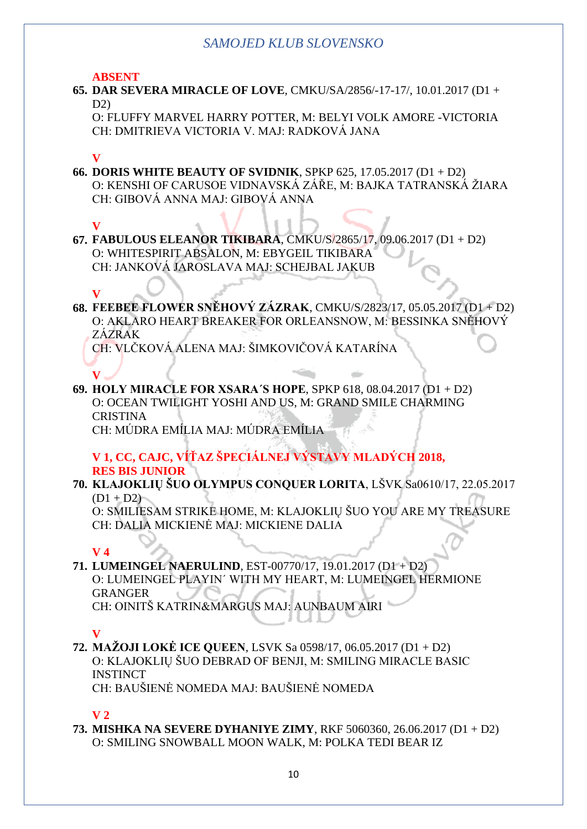**ABSENT**

**65. DAR SEVERA MIRACLE OF LOVE**, CMKU/SA/2856/-17-17/, 10.01.2017 (D1 +  $D2$ 

O: FLUFFY MARVEL HARRY POTTER, M: BELYI VOLK AMORE -VICTORIA CH: DMITRIEVA VICTORIA V. MAJ: RADKOVÁ JANA

#### **V**

**66. DORIS WHITE BEAUTY OF SVIDNIK**, SPKP 625, 17.05.2017 (D1 + D2) O: KENSHI OF CARUSOE VIDNAVSKÁ ZÁŘE, M: BAJKA TATRANSKÁ ŽIARA CH: GIBOVÁ ANNA MAJ: GIBOVÁ ANNA

## **V**

**67. FABULOUS ELEANOR TIKIBARA**, CMKU/S/2865/17, 09.06.2017 (D1 + D2) O: WHITESPIRIT ABSALON, M: EBYGEIL TIKIBARA CH: JANKOVÁ JAROSLAVA MAJ: SCHEJBAL JAKUB

## **V**

**68. FEEBEE FLOWER SNĚHOVÝ ZÁZRAK**, CMKU/S/2823/17, 05.05.2017 (D1 + D2) O: AKLARO HEART BREAKER FOR ORLEANSNOW, M: BESSINKA SNĚHOVÝ ZÁZRAK

CH: VLČKOVÁ ALENA MAJ: ŠIMKOVIČOVÁ KATARÍNA

**V 69. HOLY MIRACLE FOR XSARA´S HOPE**, SPKP 618, 08.04.2017 (D1 + D2) O: OCEAN TWILIGHT YOSHI AND US, M: GRAND SMILE CHARMING **CRISTINA** CH: MÚDRA EMÍLIA MAJ: MÚDRA EMÍLIA

#### **V 1, CC, CAJC, VÍŤAZ ŠPECIÁLNEJ VÝSTAVY MLADÝCH 2018, RES BIS JUNIOR**

**70. KLAJOKLIŲ ŠUO OLYMPUS CONQUER LORITA**, LŠVK Sa0610/17, 22.05.2017  $(D1 + D2)$ 

O: SMILIESAM STRIKE HOME, M: KLAJOKLIŲ ŠUO YOU ARE MY TREASURE CH: DALIA MICKIENĖ MAJ: MICKIENE DALIA

#### **V 4**

# **71. LUMEINGEL NAERULIND**, EST-00770/17, 19.01.2017 (D1 + D2) O: LUMEINGEL PLAYIN´ WITH MY HEART, M: LUMEINGEL HERMIONE GRANGER

CH: OINITŠ KATRIN&MARGUS MAJ: AUNBAUM AIRI

## **V**

**72. MAŽOJI LOKĖ ICE QUEEN**, LSVK Sa 0598/17, 06.05.2017 (D1 + D2) O: KLAJOKLIŲ ŠUO DEBRAD OF BENJI, M: SMILING MIRACLE BASIC **INSTINCT** 

CH: BAUŠIENĖ NOMEDA MAJ: BAUŠIENĖ NOMEDA

## **V 2**

**73. MISHKA NA SEVERE DYHANIYE ZIMY**, RKF 5060360, 26.06.2017 (D1 + D2) O: SMILING SNOWBALL MOON WALK, M: POLKA TEDI BEAR IZ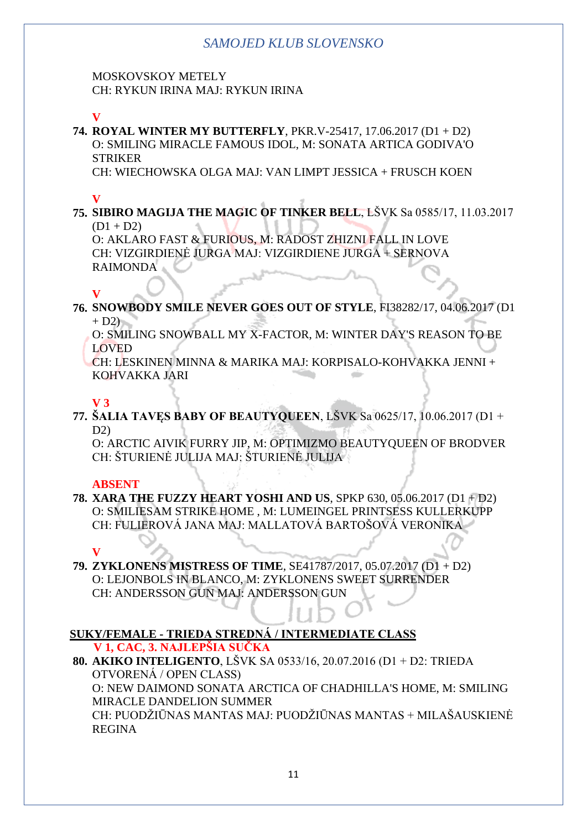MOSKOVSKOY METELY CH: RYKUN IRINA MAJ: RYKUN IRINA

**V**

**74. ROYAL WINTER MY BUTTERFLY**, PKR.V-25417, 17.06.2017 (D1 + D2) O: SMILING MIRACLE FAMOUS IDOL, M: SONATA ARTICA GODIVA'O **STRIKER** 

CH: WIECHOWSKA OLGA MAJ: VAN LIMPT JESSICA + FRUSCH KOEN

# **V**

**75. SIBIRO MAGIJA THE MAGIC OF TINKER BELL**, LŠVK Sa 0585/17, 11.03.2017  $(D1 + D2)$ 

O: AKLARO FAST & FURIOUS, M: RADOST ZHIZNI FALL IN LOVE CH: VIZGIRDIENĖ JURGA MAJ: VIZGIRDIENE JURGA + SERNOVA RAIMONDA

## **V**

**76. SNOWBODY SMILE NEVER GOES OUT OF STYLE**, FI38282/17, 04.06.2017 (D1  $+ D2$ )

O: SMILING SNOWBALL MY X-FACTOR, M: WINTER DAY'S REASON TO BE LOVED

CH: LESKINEN MINNA & MARIKA MAJ: KORPISALO-KOHVAKKA JENNI + KOHVAKKA JARI

# **V 3**

**77. ŠALIA TAVĘS BABY OF BEAUTYQUEEN**, LŠVK Sa 0625/17, 10.06.2017 (D1 + D<sub>2</sub>)

O: ARCTIC AIVIK FURRY JIP, M: OPTIMIZMO BEAUTYQUEEN OF BRODVER CH: ŠTURIENĖ JULIJA MAJ: ŠTURIENĖ JULIJA

## **ABSENT**

**78. XARA THE FUZZY HEART YOSHI AND US**, SPKP 630, 05.06.2017 (D1 + D2) O: SMILIESAM STRIKE HOME , M: LUMEINGEL PRINTSESS KULLERKUPP CH: FULIEROVÁ JANA MAJ: MALLATOVÁ BARTOŠOVÁ VERONIKA

## **V**

**79. ZYKLONENS MISTRESS OF TIME**, SE41787/2017, 05.07.2017 (D1 + D2) O: LEJONBOLS IN BLANCO, M: ZYKLONENS SWEET SURRENDER CH: ANDERSSON GUN MAJ: ANDERSSON GUN

#### **SUKY/FEMALE - TRIEDA STREDNÁ / INTERMEDIATE CLASS V 1, CAC, 3. NAJLEPŠIA SUČKA**

**80. AKIKO INTELIGENTO**, LŠVK SA 0533/16, 20.07.2016 (D1 + D2: TRIEDA OTVORENÁ / OPEN CLASS) O: NEW DAIMOND SONATA ARCTICA OF CHADHILLA'S HOME, M: SMILING MIRACLE DANDELION SUMMER CH: PUODŽIŪNAS MANTAS MAJ: PUODŽIŪNAS MANTAS + MILAŠAUSKIENĖ REGINA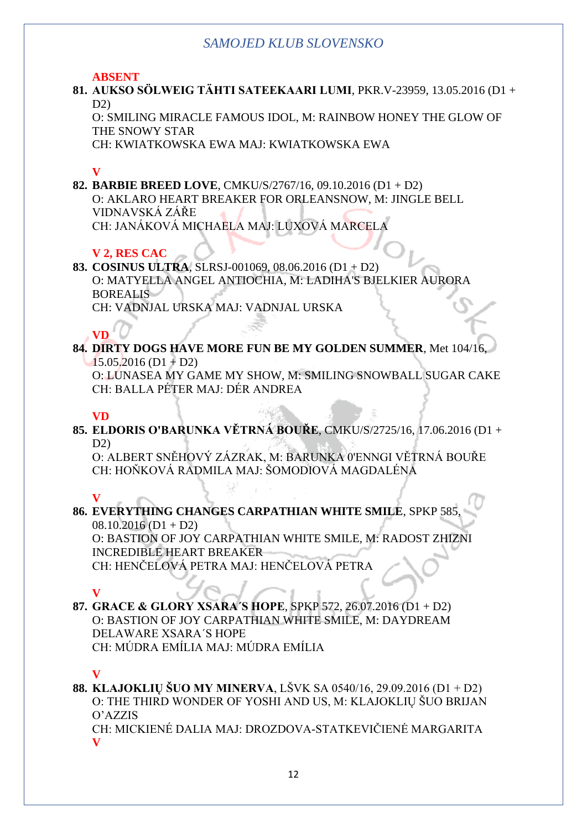#### **ABSENT**

**81. AUKSO SÖLWEIG TÄHTI SATEEKAARI LUMI**, PKR.V-23959, 13.05.2016 (D1 + D2)

O: SMILING MIRACLE FAMOUS IDOL, M: RAINBOW HONEY THE GLOW OF THE SNOWY STAR

CH: KWIATKOWSKA EWA MAJ: KWIATKOWSKA EWA

#### **V**

**82. BARBIE BREED LOVE**, CMKU/S/2767/16, 09.10.2016 (D1 + D2) O: AKLARO HEART BREAKER FOR ORLEANSNOW, M: JINGLE BELL VIDNAVSKÁ ZÁŘE CH: JANÁKOVÁ MICHAELA MAJ: LUXOVÁ MARCELA

#### **V 2, RES CAC**

**83. COSINUS ULTRA**, SLRSJ-001069, 08.06.2016 (D1 + D2) O: MATYELLA ANGEL ANTIOCHIA, M: LADIHA'S BJELKIER AURORA BOREALIS

CH: VADNJAL URSKA MAJ: VADNJAL URSKA

# **VD**

**84. DIRTY DOGS HAVE MORE FUN BE MY GOLDEN SUMMER**, Met 104/16,  $15.05.2016$  (D1 + D2)

O: LUNASEA MY GAME MY SHOW, M: SMILING SNOWBALL SUGAR CAKE CH: BALLA PÉTER MAJ: DÉR ANDREA

#### **VD**

**85. ELDORIS O'BARUNKA VĚTRNÁ BOUŘE**, CMKU/S/2725/16, 17.06.2016 (D1 +  $D2$ 

O: ALBERT SNĚHOVÝ ZÁZRAK, M: BARUNKA 0'ENNGI VĚTRNÁ BOUŘE CH: HOŇKOVÁ RADMILA MAJ: ŠOMODIOVÁ MAGDALÉNA

#### **V**

**86. EVERYTHING CHANGES CARPATHIAN WHITE SMILE, SPKP 58**  $08.10.2016$  (D1 + D2) O: BASTION OF JOY CARPATHIAN WHITE SMILE, M: RADOST ZHIZNI INCREDIBLE HEART BREAKER

CH: HENČELOVÁ PETRA MAJ: HENČELOVÁ PETRA

# **V**

#### **87. GRACE & GLORY XSARA´S HOPE**, SPKP 572, 26.07.2016 (D1 + D2) O: BASTION OF JOY CARPATHIAN WHITE SMILE, M: DAYDREAM DELAWARE XSARA´S HOPE CH: MÚDRA EMÍLIA MAJ: MÚDRA EMÍLIA

#### **V**

**88. KLAJOKLIŲ ŠUO MY MINERVA**, LŠVK SA 0540/16, 29.09.2016 (D1 + D2) O: THE THIRD WONDER OF YOSHI AND US, M: KLAJOKLIŲ ŠUO BRIJAN O'AZZIS

CH: MICKIENÉ DALIA MAJ: DROZDOVA-STATKEVIČIENĖ MARGARITA **V**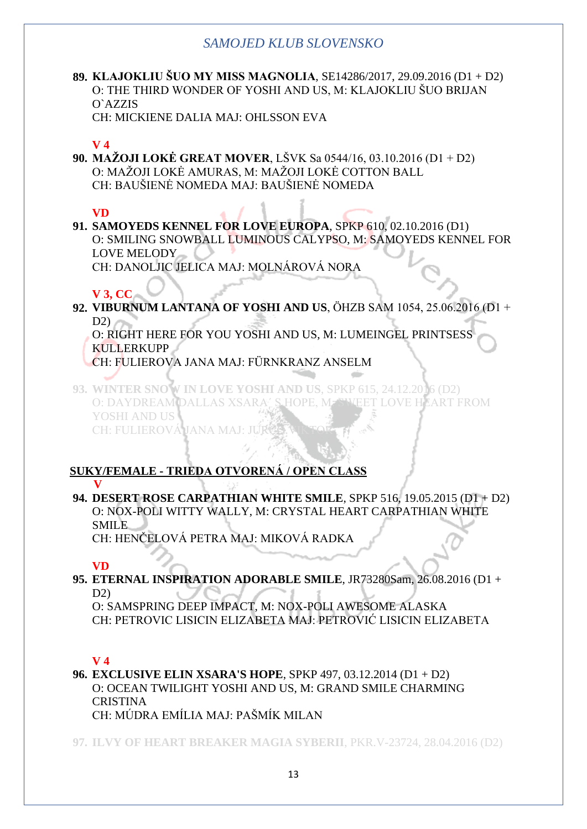**89. KLAJOKLIU ŠUO MY MISS MAGNOLIA**, SE14286/2017, 29.09.2016 (D1 + D2) O: THE THIRD WONDER OF YOSHI AND US, M: KLAJOKLIU ŠUO BRIJAN O`AZZIS

CH: MICKIENE DALIA MAJ: OHLSSON EVA

## **V 4**

**90. MAŽOJI LOKĖ GREAT MOVER**, LŠVK Sa 0544/16, 03.10.2016 (D1 + D2) O: MAŽOJI LOKĖ AMURAS, M: MAŽOJI LOKĖ COTTON BALL CH: BAUŠIENĖ NOMEDA MAJ: BAUŠIENĖ NOMEDA

# **VD**

**91. SAMOYEDS KENNEL FOR LOVE EUROPA**, SPKP 610, 02.10.2016 (D1) O: SMILING SNOWBALL LUMINOUS CALYPSO, M: SAMOYEDS KENNEL FOR LOVE MELODY \_\_ CH: DANOLJIC JELICA MAJ: MOLNÁROVÁ NORA

# **V 3, CC**

**92. VIBURNUM LANTANA OF YOSHI AND US**, ÖHZB SAM 1054, 25.06.2016 (D1 +  $D2$ 

O: RIGHT HERE FOR YOU YOSHI AND US, M: LUMEINGEL PRINTSESS **KULLERKUPP** 

CH: FULIEROVA JANA MAJ: FÜRNKRANZ ANSELM

**93. WINTER SNOW IN LOVE YOSHI AND US**, SPKP 615, 24.12.2016 (D2) O: DAYDREAM DALLAS XSARA´ S HOPE, M: SWEET LOVE HEART FROM YOSHI AND US CH: FULIEROVÁ JANA MAJ: JU

## **SUKY/FEMALE - TRIEDA OTVORENÁ / OPEN CLASS V**

**94. DESERT ROSE CARPATHIAN WHITE SMILE**, SPKP 516, 19.05.2015 (D1 + D2) O: NOX-POLI WITTY WALLY, M: CRYSTAL HEART CARPATHIAN WHITE SMILE

CH: HENČELOVÁ PETRA MAJ: MIKOVÁ RADKA

# **VD**

**95. ETERNAL INSPIRATION ADORABLE SMILE**, JR73280Sam, 26.08.2016 (D1 + D2)

O: SAMSPRING DEEP IMPACT, M: NOX-POLI AWESOME ALASKA CH: PETROVIC LISICIN ELIZABETA MAJ: PETROVIĆ LISICIN ELIZABETA

# **V 4**

**96. EXCLUSIVE ELIN XSARA'S HOPE**, SPKP 497, 03.12.2014 (D1 + D2) O: OCEAN TWILIGHT YOSHI AND US, M: GRAND SMILE CHARMING **CRISTINA** CH: MÚDRA EMÍLIA MAJ: PAŠMÍK MILAN

**97. ILVY OF HEART BREAKER MAGIA SYBERII**, PKR.V-23724, 28.04.2016 (D2)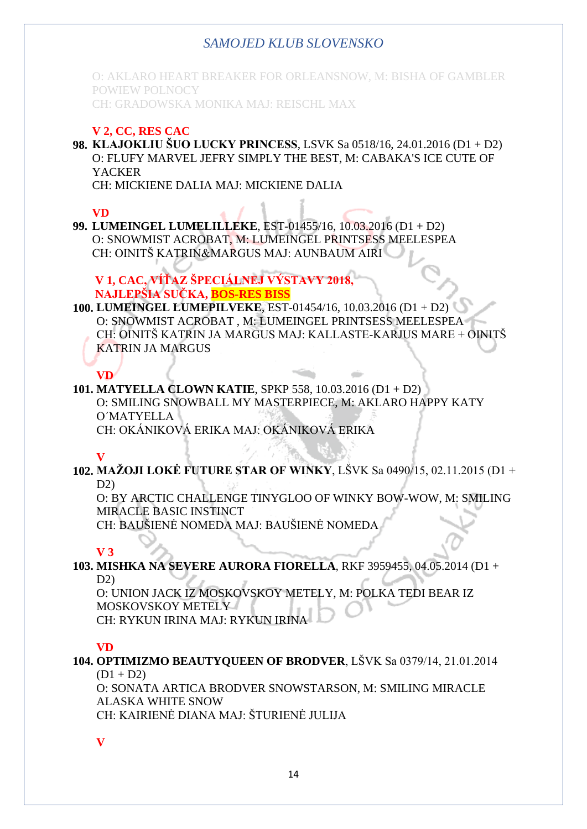O: AKLARO HEART BREAKER FOR ORLEANSNOW, M: BISHA OF GAMBLER POWIEW POLNOCY CH: GRADOWSKA MONIKA MAJ: REISCHL MAX

#### **V 2, CC, RES CAC**

**98. KLAJOKLIU ŠUO LUCKY PRINCESS**, LSVK Sa 0518/16, 24.01.2016 (D1 + D2) O: FLUFY MARVEL JEFRY SIMPLY THE BEST, M: CABAKA'S ICE CUTE OF **YACKER** 

CH: MICKIENE DALIA MAJ: MICKIENE DALIA

## **VD**

**99. LUMEINGEL LUMELILLEKE**, EST-01455/16, 10.03.2016 (D1 + D2) O: SNOWMIST ACROBAT, M: LUMEINGEL PRINTSESS MEELESPEA CH: OINITŠ KATRIN&MARGUS MAJ: AUNBAUM AIRI

**V 1, CAC, VÍŤAZ ŠPECIÁLNEJ VÝSTAVY 2018, NAJLEPŠIA SUČKA, BOS-RES BISS**

#### **100. LUMEINGEL LUMEPILVEKE**, EST-01454/16, 10.03.2016 (D1 + D2) O: SNOWMIST ACROBAT , M: LUMEINGEL PRINTSESS MEELESPEA CH: OINITŠ KATRIN JA MARGUS MAJ: KALLASTE-KARJUS MARE + OINITŠ KATRIN JA MARGUS

## **VD**

#### **101. MATYELLA CLOWN KATIE**, SPKP 558, 10.03.2016 (D1 + D2) O: SMILING SNOWBALL MY MASTERPIECE, M: AKLARO HAPPY KATY O´MATYELLA CH: OKÁNIKOVÁ ERIKA MAJ: OKÁNIKOVÁ ERIKA

## **V**

**102. MAŽOJI LOKĖ FUTURE STAR OF WINKY**, LŠVK Sa 0490/15, 02.11.2015 (D1 +  $D2$ 

O: BY ARCTIC CHALLENGE TINYGLOO OF WINKY BOW-WOW, M: SMILING MIRACLE BASIC INSTINCT

CH: BAUŠIENĖ NOMEDA MAJ: BAUŠIENĖ NOMEDA

#### **V 3**

## **103. MISHKA NA SEVERE AURORA FIORELLA**, RKF 3959455, 04.05.2014 (D1 +  $D2$

O: UNION JACK IZ MOSKOVSKOY METELY, M: POLKA TEDI BEAR IZ MOSKOVSKOY METELY CH: RYKUN IRINA MAJ: RYKUN IRINA

#### **VD**

#### **104. OPTIMIZMO BEAUTYQUEEN OF BRODVER**, LŠVK Sa 0379/14, 21.01.2014  $(D1 + D2)$

O: SONATA ARTICA BRODVER SNOWSTARSON, M: SMILING MIRACLE ALASKA WHITE SNOW CH: KAIRIENĖ DIANA MAJ: ŠTURIENĖ JULIJA

**V**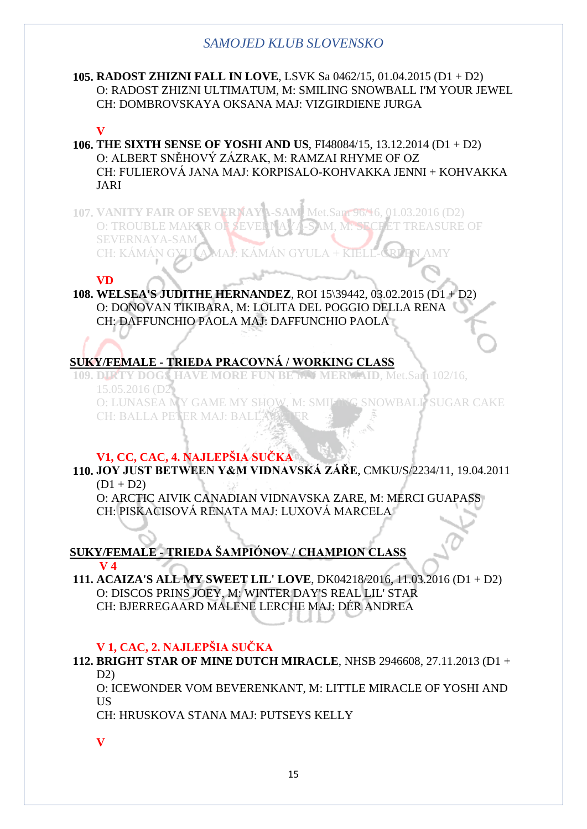#### **105. RADOST ZHIZNI FALL IN LOVE**, LSVK Sa 0462/15, 01.04.2015 (D1 + D2) O: RADOST ZHIZNI ULTIMATUM, M: SMILING SNOWBALL I'M YOUR JEWEL CH: DOMBROVSKAYA OKSANA MAJ: VIZGIRDIENE JURGA

#### **V**

- **106. THE SIXTH SENSE OF YOSHI AND US**, FI48084/15, 13.12.2014 (D1 + D2) O: ALBERT SNĚHOVÝ ZÁZRAK, M: RAMZAI RHYME OF OZ CH: FULIEROVÁ JANA MAJ: KORPISALO-KOHVAKKA JENNI + KOHVAKKA JARI
- **107. VANITY FAIR OF SEVERNAYA-SAM**, Met.Sam 96/16, 01.03.2016 (D2) O: TROUBLE MAKER OF SEVERNAY A SAM, M. SECRET TREASURE OF SEVERNAYA-SAM CH: KÁMÁN GYULA MAJ: KÁMÁ

#### **VD**

**108. WELSEA'S JUDITHE HERNANDEZ**, ROI 15\39442, 03.02.2015 (D1 + D2) O: DONOVAN TIKIBARA, M: LOLITA DEL POGGIO DELLA RENA CH: DAFFUNCHIO PAOLA MAJ: DAFFUNCHIO PAOLA

# **SUKY/FEMALE - TRIEDA PRACOVNÁ / WORKING CLASS**

**109. DIRTY DOGS HAVE MORE FUN BE MY MERMAID**, Met.Sam 102/16, 15.05.2016 (D2)

O: LUNASEA MY GAME MY SHOW, M: SMILING SNOWBALL SUGAR CAKE CH: BALLA PETER MAJ: BALLA PÉT

#### **V1, CC, CAC, 4. NAJLEPŠIA SUČKA**

**110. JOY JUST BETWEEN Y&M VIDNAVSKÁ ZÁŘE**, CMKU/S/2234/11, 19.04.2011  $(D1 + D2)$ 

O: ARCTIC AIVIK CANADIAN VIDNAVSKA ZARE, M: MERCI GUAPASS CH: PISKACISOVÁ RENATA MAJ: LUXOVÁ MARCELA

#### **SUKY/FEMALE - TRIEDA ŠAMPIÓNOV / CHAMPION CLASS V 4**

**111. ACAIZA'S ALL MY SWEET LIL' LOVE**, DK04218/2016, 11.03.2016 (D1 + D2) O: DISCOS PRINS JOEY, M: WINTER DAY'S REAL LIL' STAR CH: BJERREGAARD MALENE LERCHE MAJ: DÉR ANDREA

#### **V 1, CAC, 2. NAJLEPŠIA SUČKA**

**112. BRIGHT STAR OF MINE DUTCH MIRACLE**, NHSB 2946608, 27.11.2013 (D1 +  $D2$ 

O: ICEWONDER VOM BEVERENKANT, M: LITTLE MIRACLE OF YOSHI AND US

CH: HRUSKOVA STANA MAJ: PUTSEYS KELLY

**V**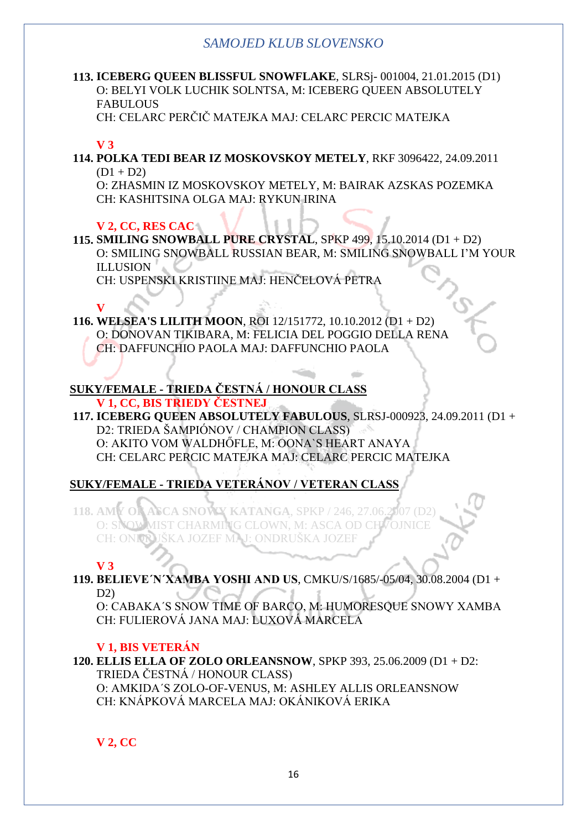# **113. ICEBERG QUEEN BLISSFUL SNOWFLAKE**, SLRSj- 001004, 21.01.2015 (D1) O: BELYI VOLK LUCHIK SOLNTSA, M: ICEBERG QUEEN ABSOLUTELY FABULOUS

CH: CELARC PERČIČ MATEJKA MAJ: CELARC PERCIC MATEJKA

#### **V 3**

**114. POLKA TEDI BEAR IZ MOSKOVSKOY METELY**, RKF 3096422, 24.09.2011  $(D1 + D2)$ 

O: ZHASMIN IZ MOSKOVSKOY METELY, M: BAIRAK AZSKAS POZEMKA CH: KASHITSINA OLGA MAJ: RYKUN IRINA

#### **V 2, CC, RES CAC**

**115. SMILING SNOWBALL PURE CRYSTAL**, SPKP 499, 15.10.2014 (D1 + D2) O: SMILING SNOWBALL RUSSIAN BEAR, M: SMILING SNOWBALL I'M YOUR ILLUSION

CH: USPENSKI KRISTIINE MAJ: HENČELOVÁ PETRA

#### **V**

**116. WELSEA'S LILITH MOON**, ROI 12/151772, 10.10.2012 (D1 + D2) O: DONOVAN TIKIBARA, M: FELICIA DEL POGGIO DELLA RENA CH: DAFFUNCHIO PAOLA MAJ: DAFFUNCHIO PAOLA

#### **SUKY/FEMALE - TRIEDA ČESTNÁ / HONOUR CLASS V 1, CC, BIS TRIEDY ČESTNEJ**

**117. ICEBERG QUEEN ABSOLUTELY FABULOUS**, SLRSJ-000923, 24.09.2011 (D1 + D2: TRIEDA ŠAMPIÓNOV / CHAMPION CLASS) O: AKITO VOM WALDHŐFLE, M: OONA`S HEART ANAYA CH: CELARC PERCIC MATEJKA MAJ: CELARC PERCIC MATEJKA

# **SUKY/FEMALE - TRIEDA VETERÁNOV / VETERAN CLASS**

118. AMY OF ASCA SNOWY KATANGA, SPKP / 246, 27.06.2007 O: SNOWMIST CHARMING CLOWN, M: ASCA OD CHVOJNICE CH: ONDRUŠKA JOZEF MAJ: ONDRUŠKA JOZEF

#### **V 3**

**119. BELIEVE´N´XAMBA YOSHI AND US**, CMKU/S/1685/-05/04, 30.08.2004 (D1 + D2)

O: CABAKA´S SNOW TIME OF BARCO, M: HUMORESQUE SNOWY XAMBA CH: FULIEROVÁ JANA MAJ: LUXOVÁ MARCELA

#### **V 1, BIS VETERÁN**

**120. ELLIS ELLA OF ZOLO ORLEANSNOW**, SPKP 393, 25.06.2009 (D1 + D2: TRIEDA ČESTNÁ / HONOUR CLASS) O: AMKIDA´S ZOLO-OF-VENUS, M: ASHLEY ALLIS ORLEANSNOW CH: KNÁPKOVÁ MARCELA MAJ: OKÁNIKOVÁ ERIKA

# **V 2, CC**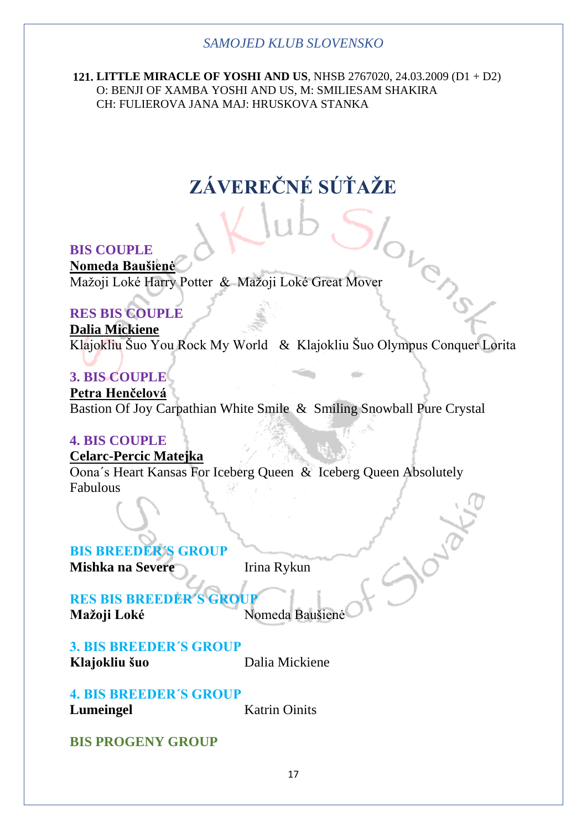**121. LITTLE MIRACLE OF YOSHI AND US**, NHSB 2767020, 24.03.2009 (D1 + D2) O: BENJI OF XAMBA YOSHI AND US, M: SMILIESAM SHAKIRA CH: FULIEROVA JANA MAJ: HRUSKOVA STANKA

# **ZÁVEREČNÉ SÚŤAŽE**

# **BIS COUPLE**

**Nomeda Baušienė** Mažoji Loké Harry Potter & Mažoji Loké Great Mover

# **RES BIS COUPLE**

**Dalia Mickiene** Klajokliu Šuo You Rock My World & Klajokliu Šuo Olympus Conquer Lorita

alis

OVENC

# **3. BIS COUPLE**

**Petra Henčelová** Bastion Of Joy Carpathian White Smile & Smiling Snowball Pure Crystal

# **4. BIS COUPLE**

**Celarc-Percic Matejka** Oona´s Heart Kansas For Iceberg Queen & Iceberg Queen Absolutely Fabulous

# **BIS BREEDER´S GROUP**

**Mishka na Severe** Irina Rykun

# **RES BIS BREEDER Mažoji Loké** Nomeda Baušienė

### **3. BIS BREEDER´S GROUP Klajokliu šuo** Dalia Mickiene

# **4. BIS BREEDER´S GROUP**

**Lumeingel** Katrin Oinits

# **BIS PROGENY GROUP**